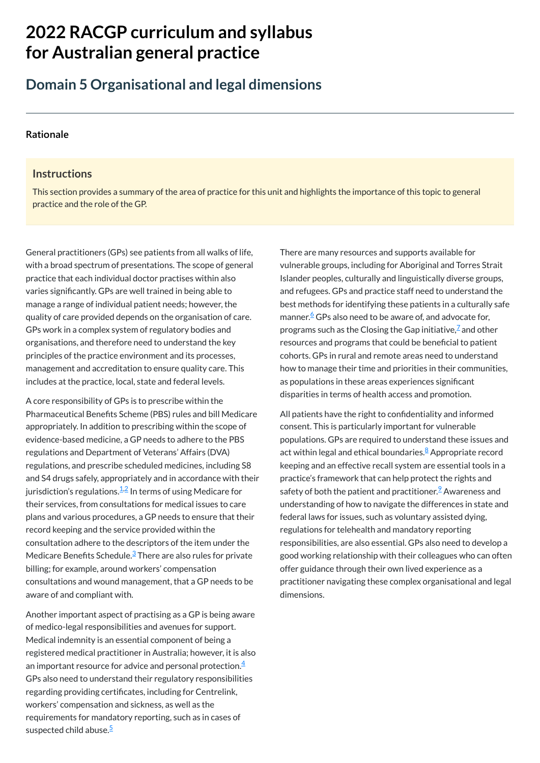# **2022 RACGP curriculum and syllabus for Australian [general practice](https://www.racgp.org.au/Curriculum-and-Syllabus/home)**

## **Domain 5 Organisational and legal dimensions**

#### **[Rationale](javascript:void(0))**

#### **Instructions**

This section provides a summary of the area of practice for this unit and highlights the importance of this topic to general practice and the role of the GP.

General practitioners (GPs) see patients from all walks of life, with a broad spectrum of presentations. The scope of general practice that each individual doctor practises within also varies significantly. GPs are well trained in being able to manage a range of individual patient needs; however, the quality of care provided depends on the organisation of care. GPs work in a complex system of regulatory bodies and organisations, and therefore need to understand the key principles of the practice environment and its processes, management and accreditation to ensure quality care. This includes at the practice, local, state and federal levels.

Another important aspect of practising as a GP is being aware of medico-legal responsibilities and avenues for support. Medical indemnity is an essential component of being a registered medical practitioner in Australia; however, it is also an important resource for advice and personal protection. $\frac{4}{3}$  $\frac{4}{3}$  $\frac{4}{3}$ GPs also need to understand their regulatory responsibilities regarding providing certificates, including for Centrelink, workers' compensation and sickness, as well as the requirements for mandatory reporting, such as in cases of suspected child abuse.<sup>[5](#page-1-4)</sup>

A core responsibility of GPs is to prescribe within the Pharmaceutical Benefits Scheme (PBS) rules and bill Medicare appropriately. In addition to prescribing within the scope of evidence-based medicine, a GP needs to adhere to the PBS regulations and Department of Veterans' Affairs (DVA) regulations, and prescribe scheduled medicines, including S8 and S4 drugs safely, appropriately and in accordance with their jurisdiction's regulations.<sup>[1,](#page-1-0)[2](#page-1-1)</sup> In terms of using Medicare for their services, from consultations for medical issues to care plans and various procedures, a GP needs to ensure that their record keeping and the service provided within the consultation adhere to the descriptors of the item under the Medicare Benefits Schedule.<sup>[3](#page-1-2)</sup> There are also rules for private billing; for example, around workers' compensation

consultations and wound management, that a GP needs to be aware of and compliant with.

There are many resources and supports available for vulnerable groups, including for Aboriginal and Torres Strait Islander peoples, culturally and linguistically diverse groups, and refugees. GPs and practice staff need to understand the best methods for identifying these patients in a culturally safe manner.<sup>[6](#page-1-5)</sup> GPs also need to be aware of, and advocate for, programs such as the Closing the Gap initiative, $\mathbb Z$  and other resources and programs that could be beneficial to patient cohorts. GPs in rural and remote areas need to understand how to manage their time and priorities in their communities, as populations in these areas experiences significant disparities in terms of health access and promotion.

All patients have the right to confidentiality and informed consent. This is particularly important for vulnerable populations. GPs are required to understand these issues and act within legal and ethical boundaries.<sup>[8](#page-1-7)</sup> Appropriate record keeping and an effective recall system are essential tools in a practice's framework that can help protect the rights and safety of both the patient and practitioner. $^2$  Awareness and understanding of how to navigate the differences in state and federal laws for issues, such as voluntary assisted dying, regulations for telehealth and mandatory reporting responsibilities, are also essential. GPs also need to develop a good working relationship with their colleagues who can often offer guidance through their own lived experience as a practitioner navigating these complex organisational and legal dimensions.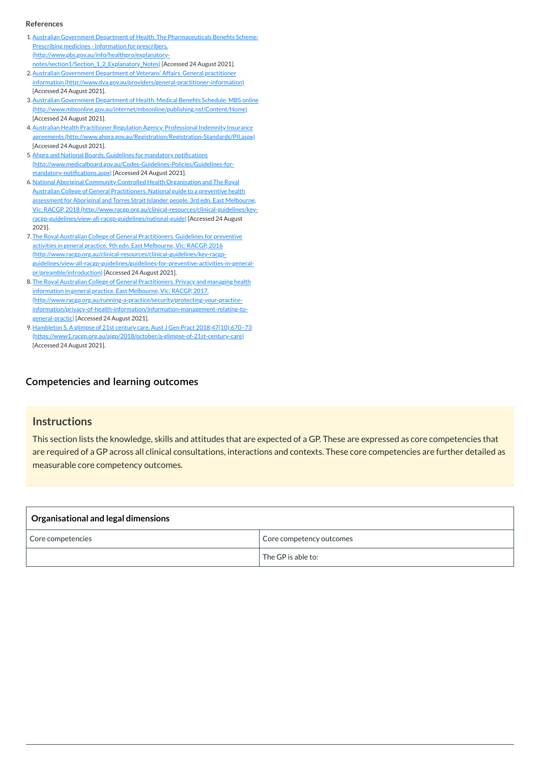#### **[Competencies and learning outcomes](javascript:void(0))**

#### **Instructions**

This section lists the knowledge, skills and attitudes that are expected of a GP. These are expressed as core competencies that are required of a GP across all clinical consultations, interactions and contexts. These core competencies are further detailed as measurable core competency outcomes.

| <b>Organisational and legal dimensions</b> |                          |  |  |  |
|--------------------------------------------|--------------------------|--|--|--|
| Core competencies                          | Core competency outcomes |  |  |  |
|                                            | The GP is able to:       |  |  |  |

#### **References**

- <span id="page-1-0"></span>1.Australian Government Department of Health. The Pharmaceuticals Benefits Scheme: Prescribing medicines - Information for prescribers. [\(http://www.pbs.gov.au/info/healthpro/explanatory](http://www.pbs.gov.au/info/healthpro/explanatory-notes/section1/Section_1_2_Explanatory_Notes)notes/section1/Section 1 2 Explanatory\_Notes) [Accessed 24 August 2021].
- <span id="page-1-1"></span>2. Australian Government Department of Veterans' Affairs. General practitioner [information \(http://www.dva.gov.au/providers/general-practitioner-information\)](http://www.dva.gov.au/providers/general-practitioner-information) [Accessed 24 August 2021].
- <span id="page-1-2"></span>3. Australian Government Department of Health. Medical Benefits Schedule. MBS online [\(http://www.mbsonline.gov.au/internet/mbsonline/publishing.nsf/Content/Home\)](http://www.mbsonline.gov.au/internet/mbsonline/publishing.nsf/Content/Home) [Accessed 24 August 2021].
- <span id="page-1-3"></span>4. Australian Health Practitioner Regulation Agency. Professional Indemnity Insurance agreements [\(http://www.ahpra.gov.au/Registration/Registration-Standards/PII.aspx\)](http://www.ahpra.gov.au/Registration/Registration-Standards/PII.aspx) [Accessed 24 August 2021].
- <span id="page-1-4"></span>5. Ahpra and National Boards. Guidelines for mandatory notifications [\(http://www.medicalboard.gov.au/Codes-Guidelines-Policies/Guidelines-for](http://www.medicalboard.gov.au/Codes-Guidelines-Policies/Guidelines-for-mandatory-notifications.aspx)mandatory-notifications.aspx) [Accessed 24 August 2021].
- <span id="page-1-5"></span>6. National Aboriginal Community Controlled Health Organisation and The Royal Australian College of General Practitioners. National guide to a preventive health assessment for Aboriginal and Torres Strait Islander people. 3rd edn. East Melbourne, Vic: RACGP, 2018 [\(http://www.racgp.org.au/clinical-resources/clinical-guidelines/key](http://www.racgp.org.au/clinical-resources/clinical-guidelines/key-racgp-guidelines/view-all-racgp-guidelines/national-guide)racgp-guidelines/view-all-racgp-guidelines/national-guide) [Accessed 24 August 2021].
- <span id="page-1-6"></span>7. The Royal Australian College of General Practitioners. Guidelines for preventive activities in general practice. 9th edn. East Melbourne, Vic: RACGP, 2016 (http://www.racgp.org.au/clinical-resources/clinical-guidelines/key-racgp[guidelines/view-all-racgp-guidelines/guidelines-for-preventive-activities-in-general](http://www.racgp.org.au/clinical-resources/clinical-guidelines/key-racgp-guidelines/view-all-racgp-guidelines/guidelines-for-preventive-activities-in-general-pr/preamble/introduction)pr/preamble/introduction) [Accessed 24 August 2021].
- <span id="page-1-7"></span>8. The Royal Australian College of General Practitioners. Privacy and managing health information in general practice. East Melbourne, Vic: RACGP, 2017. (http://www.racgp.org.au/running-a-practice/security/protecting-your-practice[information/privacy-of-health-information/information-management-relating-to](http://www.racgp.org.au/running-a-practice/security/protecting-your-practice-information/privacy-of-health-information/information-management-relating-to-general-practic)general-practic) [Accessed 24 August 2021].
- <span id="page-1-8"></span>9. Hambleton S. A glimpse of 21st century care. Aust J Gen Pract 2018;47(10):670-73 [\(https://www1.racgp.org.au/ajgp/2018/october/a-glimpse-of-21st-century-care\)](https://www1.racgp.org.au/ajgp/2018/october/a-glimpse-of-21st-century-care) [Accessed 24 August 2021].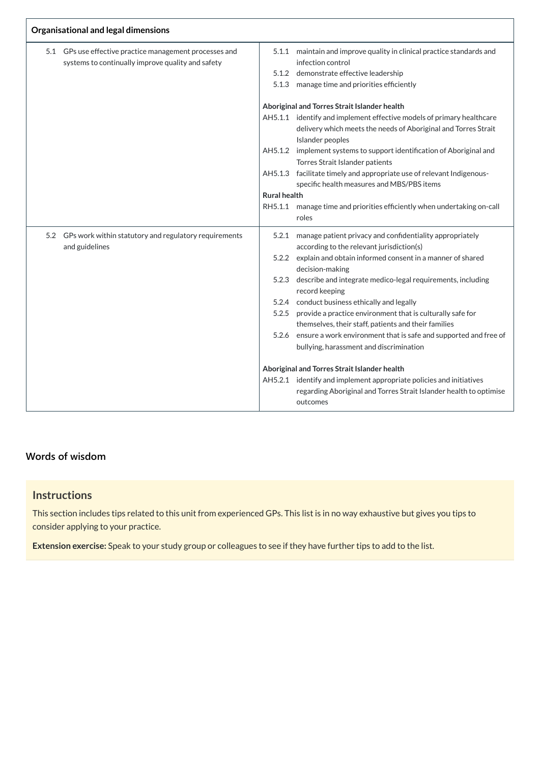| Organisational and legal dimensions |                                                       |                                              |                                                                              |  |  |  |
|-------------------------------------|-------------------------------------------------------|----------------------------------------------|------------------------------------------------------------------------------|--|--|--|
| 5.1                                 | GPs use effective practice management processes and   | 5.1.1                                        | maintain and improve quality in clinical practice standards and              |  |  |  |
|                                     | systems to continually improve quality and safety     |                                              | infection control                                                            |  |  |  |
|                                     |                                                       | 5.1.2                                        | demonstrate effective leadership                                             |  |  |  |
|                                     |                                                       | 5.1.3                                        | manage time and priorities efficiently                                       |  |  |  |
|                                     |                                                       | Aboriginal and Torres Strait Islander health |                                                                              |  |  |  |
|                                     |                                                       |                                              | AH5.1.1 identify and implement effective models of primary healthcare        |  |  |  |
|                                     |                                                       |                                              | delivery which meets the needs of Aboriginal and Torres Strait               |  |  |  |
|                                     |                                                       |                                              | Islander peoples                                                             |  |  |  |
|                                     |                                                       | AH5.1.2                                      | implement systems to support identification of Aboriginal and                |  |  |  |
|                                     |                                                       |                                              | Torres Strait Islander patients                                              |  |  |  |
|                                     |                                                       | AH5.1.3                                      | facilitate timely and appropriate use of relevant Indigenous-                |  |  |  |
|                                     |                                                       |                                              | specific health measures and MBS/PBS items                                   |  |  |  |
|                                     |                                                       | <b>Rural health</b>                          |                                                                              |  |  |  |
|                                     |                                                       | RH5.1.1                                      | manage time and priorities efficiently when undertaking on-call              |  |  |  |
|                                     |                                                       |                                              | roles                                                                        |  |  |  |
| 5.2                                 | GPs work within statutory and regulatory requirements | 5.2.1                                        | manage patient privacy and confidentiality appropriately                     |  |  |  |
|                                     | and guidelines                                        |                                              | according to the relevant jurisdiction(s)                                    |  |  |  |
|                                     |                                                       | 5.2.2                                        | explain and obtain informed consent in a manner of shared<br>decision-making |  |  |  |
|                                     |                                                       | 5.2.3                                        | describe and integrate medico-legal requirements, including                  |  |  |  |
|                                     |                                                       |                                              | record keeping                                                               |  |  |  |
|                                     |                                                       |                                              | 5.2.4 conduct business ethically and legally                                 |  |  |  |
|                                     |                                                       | 5.2.5                                        | provide a practice environment that is culturally safe for                   |  |  |  |
|                                     |                                                       |                                              | themselves, their staff, patients and their families                         |  |  |  |
|                                     |                                                       | 5.2.6                                        | ensure a work environment that is safe and supported and free of             |  |  |  |
|                                     |                                                       |                                              | bullying, harassment and discrimination                                      |  |  |  |
|                                     |                                                       |                                              | Aboriginal and Torres Strait Islander health                                 |  |  |  |
|                                     |                                                       | AH5.2.1                                      | identify and implement appropriate policies and initiatives                  |  |  |  |
|                                     |                                                       |                                              | regarding Aboriginal and Torres Strait Islander health to optimise           |  |  |  |
|                                     |                                                       |                                              | outcomes                                                                     |  |  |  |
|                                     |                                                       |                                              |                                                                              |  |  |  |

## **[Words of wisdom](javascript:void(0))**

## **Instructions**

This section includes tips related to this unit from experienced GPs. This list is in no way exhaustive but gives you tips to consider applying to your practice.

**Extension exercise:** Speak to your study group or colleagues to see if they have further tips to add to the list.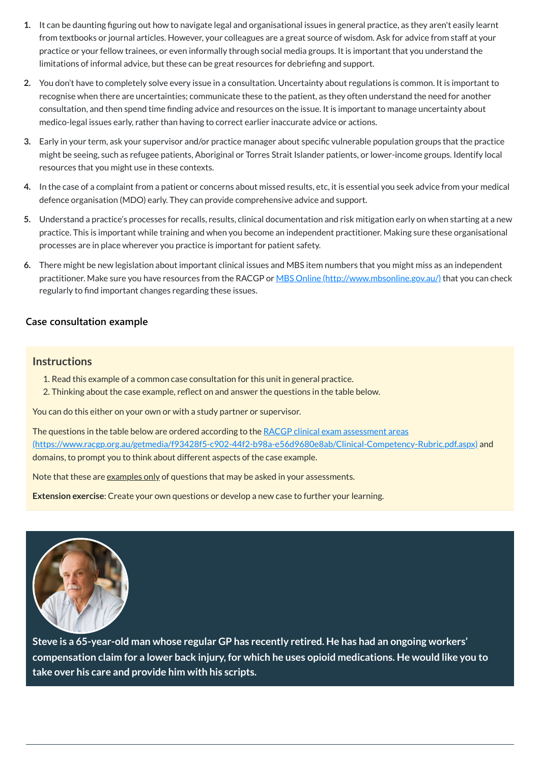- **1.** It can be daunting figuring out how to navigate legal and organisational issues in general practice, as they aren't easily learnt from textbooks or journal articles. However, your colleagues are a great source of wisdom. Ask for advice from staff at your practice or your fellow trainees, or even informally through social media groups. It is important that you understand the limitations of informal advice, but these can be great resources for debriefing and support.
- **2.** You don't have to completely solve every issue in a consultation. Uncertainty about regulations is common. It is important to recognise when there are uncertainties; communicate these to the patient, as they often understand the need for another consultation, and then spend time finding advice and resources on the issue. It is important to manage uncertainty about medico-legal issues early, rather than having to correct earlier inaccurate advice or actions.
- **3.** Early in your term, ask your supervisor and/or practice manager about specific vulnerable population groups that the practice might be seeing, such as refugee patients, Aboriginal or Torres Strait Islander patients, or lower-income groups. Identify local resources that you might use in these contexts.
- **4.** In the case of a complaint from a patient or concerns about missed results, etc, it is essential you seek advice from your medical defence organisation (MDO) early. They can provide comprehensive advice and support.
- **5.** Understand a practice's processes for recalls, results, clinical documentation and risk mitigation early on when starting at a new practice. This is important while training and when you become an independent practitioner. Making sure these organisational processes are in place wherever you practice is important for patient safety.
- **6.** There might be new legislation about important clinical issues and MBS item numbers that you might miss as an independent practitioner. Make sure you have resources from the RACGP or MBS Online [\(http://www.mbsonline.gov.au/\)](http://www.mbsonline.gov.au/) that you can check regularly to find important changes regarding these issues.

The questions in the table below are ordered according to the RACGP clinical exam assessment areas [\(https://www.racgp.org.au/getmedia/f93428f5-c902-44f2-b98a-e56d9680e8ab/Clinical-Competency-Rubric.pdf.aspx\)](https://www.racgp.org.au/getmedia/f93428f5-c902-44f2-b98a-e56d9680e8ab/Clinical-Competency-Rubric.pdf.aspx) and domains, to prompt you to think about different aspects of the case example.

Note that these are examples only of questions that may be asked in your assessments.

#### **[Case consultation example](javascript:void(0))**

#### **Instructions**

- 1. Read this example of a common case consultation for this unit in general practice.
- 2. Thinking about the case example, reflect on and answer the questions in the table below.

You can do this either on your own or with a study partner or supervisor.

**Extension exercise**: Create your own questions or develop a new case to further your learning.



**Steve is a 65-year-old man whose regular GP has recently retired. He has had an ongoing workers' compensation claim for a lower back injury, for which he uses opioid medications. He would like you to take over his care and provide him with his scripts.**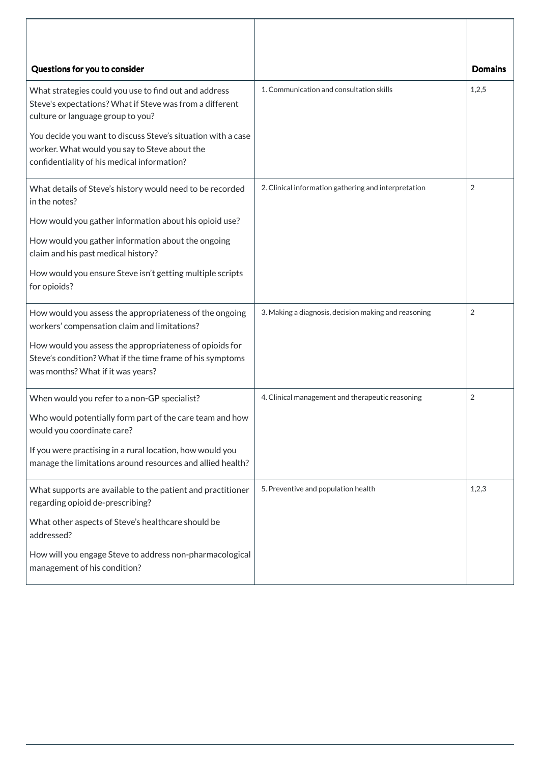| Questions for you to consider                                                                                                                                |                                                      | <b>Domains</b> |
|--------------------------------------------------------------------------------------------------------------------------------------------------------------|------------------------------------------------------|----------------|
| What strategies could you use to find out and address<br>Steve's expectations? What if Steve was from a different<br>culture or language group to you?       | 1. Communication and consultation skills             | 1,2,5          |
| You decide you want to discuss Steve's situation with a case<br>worker. What would you say to Steve about the<br>confidentiality of his medical information? |                                                      |                |
| What details of Steve's history would need to be recorded<br>in the notes?                                                                                   | 2. Clinical information gathering and interpretation | $\overline{2}$ |
| How would you gather information about his opioid use?                                                                                                       |                                                      |                |
| How would you gather information about the ongoing<br>claim and his past medical history?                                                                    |                                                      |                |
| How would you ensure Steve isn't getting multiple scripts<br>for opioids?                                                                                    |                                                      |                |
| How would you assess the appropriateness of the ongoing<br>workers' compensation claim and limitations?                                                      | 3. Making a diagnosis, decision making and reasoning | $\overline{2}$ |
| How would you assess the appropriateness of opioids for<br>Steve's condition? What if the time frame of his symptoms<br>was months? What if it was years?    |                                                      |                |
| When would you refer to a non-GP specialist?                                                                                                                 | 4. Clinical management and therapeutic reasoning     | $\overline{2}$ |
| Who would potentially form part of the care team and how<br>would you coordinate care?                                                                       |                                                      |                |
| If you were practising in a rural location, how would you<br>manage the limitations around resources and allied health?                                      |                                                      |                |
| What supports are available to the patient and practitioner<br>regarding opioid de-prescribing?                                                              | 5. Preventive and population health                  | 1,2,3          |
| What other aspects of Steve's healthcare should be<br>addressed?                                                                                             |                                                      |                |
| How will you engage Steve to address non-pharmacological<br>management of his condition?                                                                     |                                                      |                |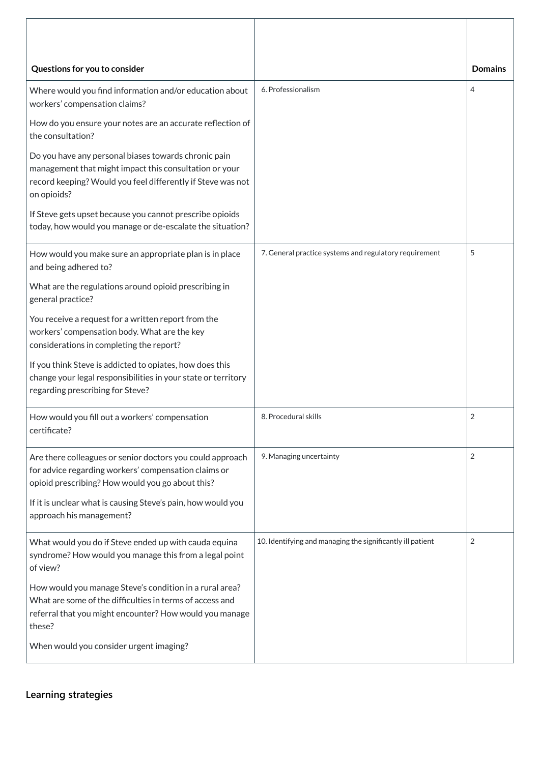| Questions for you to consider                                                                                                                                                                |                                                            | <b>Domains</b> |
|----------------------------------------------------------------------------------------------------------------------------------------------------------------------------------------------|------------------------------------------------------------|----------------|
| Where would you find information and/or education about<br>workers' compensation claims?                                                                                                     | 6. Professionalism                                         | 4              |
| How do you ensure your notes are an accurate reflection of<br>the consultation?                                                                                                              |                                                            |                |
| Do you have any personal biases towards chronic pain<br>management that might impact this consultation or your<br>record keeping? Would you feel differently if Steve was not<br>on opioids? |                                                            |                |
| If Steve gets upset because you cannot prescribe opioids<br>today, how would you manage or de-escalate the situation?                                                                        |                                                            |                |
| How would you make sure an appropriate plan is in place<br>and being adhered to?                                                                                                             | 7. General practice systems and regulatory requirement     | 5              |
| What are the regulations around opioid prescribing in<br>general practice?                                                                                                                   |                                                            |                |
| You receive a request for a written report from the<br>workers' compensation body. What are the key<br>considerations in completing the report?                                              |                                                            |                |
| If you think Steve is addicted to opiates, how does this<br>change your legal responsibilities in your state or territory<br>regarding prescribing for Steve?                                |                                                            |                |
| How would you fill out a workers' compensation<br>certificate?                                                                                                                               | 8. Procedural skills                                       | $\overline{2}$ |
| Are there colleagues or senior doctors you could approach<br>for advice regarding workers' compensation claims or<br>opioid prescribing? How would you go about this?                        | 9. Managing uncertainty                                    | $\overline{2}$ |
| If it is unclear what is causing Steve's pain, how would you<br>approach his management?                                                                                                     |                                                            |                |
| What would you do if Steve ended up with cauda equina<br>syndrome? How would you manage this from a legal point<br>of view?                                                                  | 10. Identifying and managing the significantly ill patient | $\overline{2}$ |

How would you manage Steve's condition in a rural area? What are some of the difficulties in terms of access and referral that you might encounter? How would you manage these?

When would you consider urgent imaging?

**[Learning strategies](javascript:void(0))**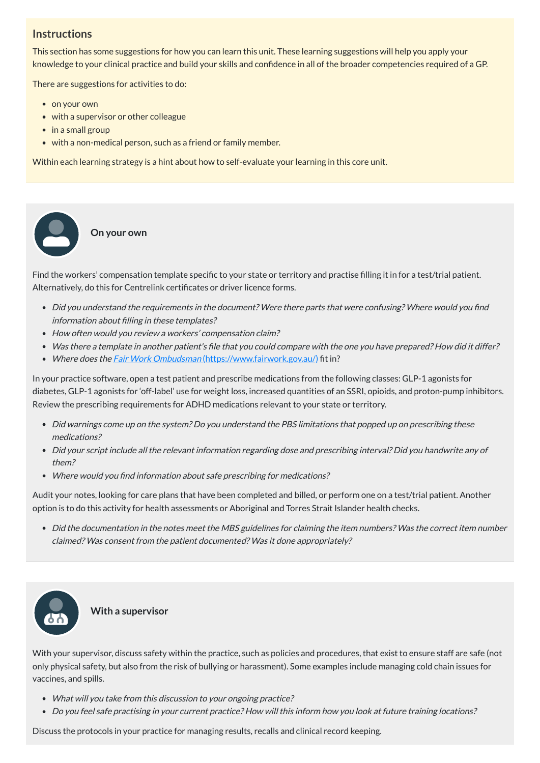## **Instructions**

This section has some suggestions for how you can learn this unit. These learning suggestions will help you apply your knowledge to your clinical practice and build your skills and confidence in all of the broader competencies required of a GP.

There are suggestions for activities to do:

• on your own

 $\bullet$ 

- with a supervisor or other colleague
- in a small group
- with a non-medical person, such as a friend or family member.

- Did you understand the requirements in the document? Were there parts that were confusing? Where would you find information about filling in these templates?
- How often would you review a workers' compensation claim?
- Was there <sup>a</sup> template in another patient's file that you could compare with the one you have prepared? How did it differ?
- Where does the *Fair Work Ombudsman* [\(https://www.fairwork.gov.au/\)](https://www.fairwork.gov.au/) fit in?

Within each learning strategy is a hint about how to self-evaluate your learning in this core unit.

**On your own**

Find the workers' compensation template specific to your state or territory and practise filling it in for a test/trial patient. Alternatively, do this for Centrelink certificates or driver licence forms.

In your practice software, open a test patient and prescribe medications from the following classes: GLP-1 agonists for diabetes, GLP-1 agonists for 'off-label' use for weight loss, increased quantities of an SSRI, opioids, and proton-pump inhibitors. Review the prescribing requirements for ADHD medications relevant to your state or territory.

- Did warnings come up on the system? Do you understand the PBS limitations that popped up on prescribing these medications?
- Did your script include all the relevant information regarding dose and prescribing interval? Did you handwrite any of them?
- Where would you find information about safe prescribing for medications?

Audit your notes, looking for care plans that have been completed and billed, or perform one on a test/trial patient. Another option is to do this activity for health assessments or Aboriginal and Torres Strait Islander health checks.

Did the documentation in the notes meet the MBS guidelines for claiming the item numbers? Was the correct item number claimed? Was consent from the patient documented? Was it done appropriately?



With your supervisor, discuss safety within the practice, such as policies and procedures, that exist to ensure staff are safe (not only physical safety, but also from the risk of bullying or harassment). Some examples include managing cold chain issues for vaccines, and spills.

- What will you take from this discussion to your ongoing practice?
- Do you feel safe practising in your current practice? How will this inform how you look at future training locations?

Discuss the protocols in your practice for managing results, recalls and clinical record keeping.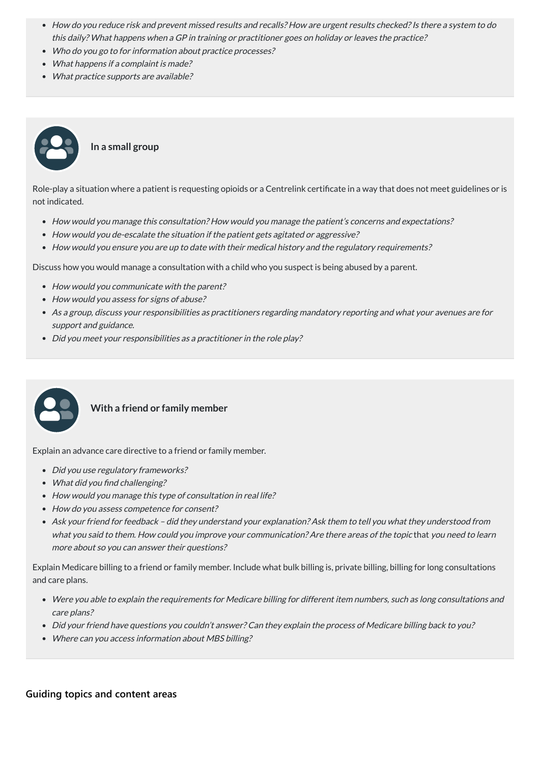#### **In a small group**

Role-play a situation where a patient is requesting opioids or a Centrelink certificate in a way that does not meet guidelines or is not indicated.

- How would you manage this consultation? How would you manage the patient's concerns and expectations?
- How would you de-escalate the situation if the patient gets agitated or aggressive?
- How would you ensure you are up to date with their medical history and the regulatory requirements?

Discuss how you would manage a consultation with a child who you suspect is being abused by a parent.

- How would you communicate with the parent?
- How would you assess for signs of abuse?
- As <sup>a</sup> group, discuss your responsibilities as practitioners regarding mandatory reporting and what your avenues are for support and guidance.
- Did you meet your responsibilities as a practitioner in the role play?



- Did you use regulatory frameworks?
- What did you find challenging?
- How would you manage this type of consultation in real life?
- How do you assess competence for consent?
- Ask your friend for feedback did they understand your explanation? Ask them to tell you what they understood from what you said to them. How could you improve your communication? Are there areas of the topic that you need to learn more about so you can answer their questions?

- Were you able to explain the requirements for Medicare billing for different item numbers, such as long consultations and care plans?
- Did your friend have questions you couldn't answer? Can they explain the process of Medicare billing back to you?
- Where can you access information about MBS billing?

#### **With a friend or family member**

Explain an advance care directive to a friend or family member.

Explain Medicare billing to a friend or family member. Include what bulk billing is, private billing, billing for long consultations

#### and care plans.

**[Guiding topics and content areas](javascript:void(0))**

- How do you reduce risk and prevent missed results and recalls? How are urgent results checked? Is there a system to do this daily? What happens when <sup>a</sup> GP in training or practitioner goes on holiday or leaves the practice?
- Who do you go to for information about practice processes?
- What happens if a complaint is made?
- What practice supports are available?

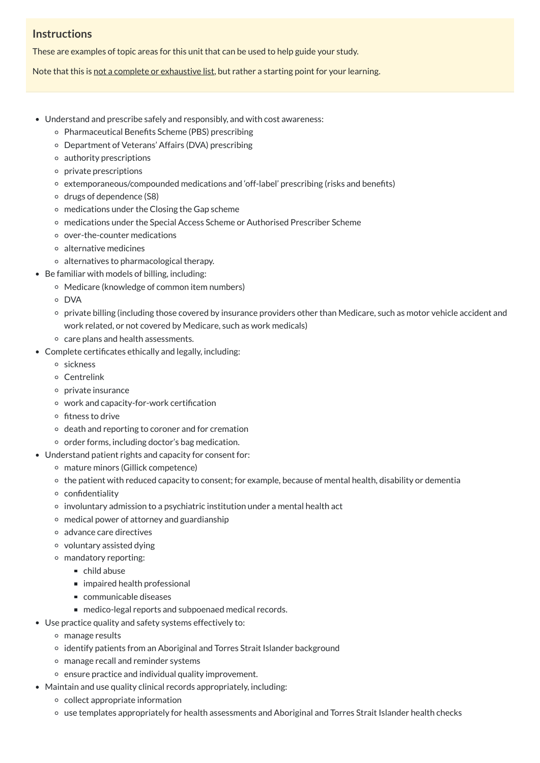## **Instructions**

These are examples of topic areas for this unit that can be used to help guide your study.

Note that this is not a complete or exhaustive list, but rather a starting point for your learning.

- Understand and prescribe safely and responsibly, and with cost awareness:
	- Pharmaceutical Benefits Scheme (PBS) prescribing
	- Department of Veterans' Affairs (DVA) prescribing
	- $\circ$  authority prescriptions
	- $\circ$  private prescriptions
	- extemporaneous/compounded medications and 'off-label' prescribing (risks and benefits)
	- $\circ$  drugs of dependence (S8)
	- $\circ$  medications under the Closing the Gap scheme
	- medications under the Special Access Scheme or Authorised Prescriber Scheme
	- over-the-counter medications
	- alternative medicines
	- alternatives to pharmacological therapy.
- Be familiar with models of billing, including:
	- Medicare (knowledge of common item numbers)
	- DVA
	- private billing (including those covered by insurance providers other than Medicare, such as motor vehicle accident and work related, or not covered by Medicare, such as work medicals)
	- care plans and health assessments.
- Complete certificates ethically and legally, including:
	- sickness
	- Centrelink
	- private insurance
	- work and capacity-for-work certification
	- $\circ$  fitness to drive
	- $\circ$  death and reporting to coroner and for cremation
	- $\circ$  order forms, including doctor's bag medication.
- Understand patient rights and capacity for consent for:
	- mature minors (Gillick competence)
	- $\circ$  the patient with reduced capacity to consent; for example, because of mental health, disability or dementia
	- $\circ$  confidentiality
	- $\circ$  involuntary admission to a psychiatric institution under a mental health act
	- medical power of attorney and guardianship
	- advance care directives
	- voluntary assisted dying
	- mandatory reporting:
		- $\blacksquare$  child abuse
		- impaired health professional
		- communicable diseases
		- medico-legal reports and subpoenaed medical records.
- Use practice quality and safety systems effectively to:
	- manage results
	- identify patients from an Aboriginal and Torres Strait Islander background
	- manage recall and reminder systems
	- $\circ$  ensure practice and individual quality improvement.
- Maintain and use quality clinical records appropriately, including:
	- collect appropriate information
	- use templates appropriately for health assessments and Aboriginal and Torres Strait Islander health checks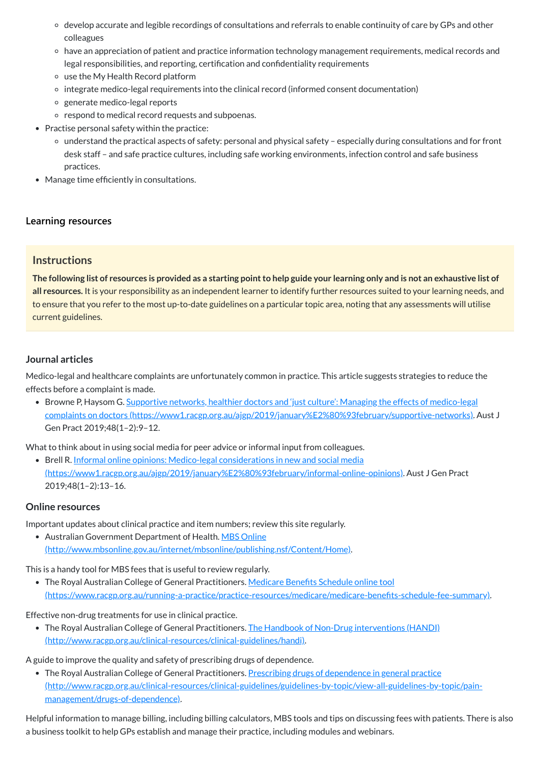The following list of resources is provided as a starting point to help guide your learning only and is not an exhaustive list of **all resources.** It is your responsibility as an independent learner to identify further resources suited to your learning needs, and to ensure that you refer to the most up-to-date guidelines on a particular topic area, noting that any assessments will utilise current guidelines.

• Browne P, Haysom G. Supportive networks, healthier doctors and 'just culture': Managing the effects of medico-legal complaints on doctors [\(https://www1.racgp.org.au/ajgp/2019/january%E2%80%93february/supportive-networks\).](https://www1.racgp.org.au/ajgp/2019/january%E2%80%93february/supportive-networks) Aust J Gen Pract 2019;48(1–2):9–12.

- develop accurate and legible recordings of consultations and referrals to enable continuity of care by GPs and other colleagues
- have an appreciation of patient and practice information technology management requirements, medical records and legal responsibilities, and reporting, certification and confidentiality requirements
- use the My Health Record platform
- o integrate medico-legal requirements into the clinical record (informed consent documentation)
- o generate medico-legal reports
- o respond to medical record requests and subpoenas.
- Practise personal safety within the practice:
	- understand the practical aspects of safety: personal and physical safety especially during consultations and for front desk staff – and safe practice cultures, including safe working environments, infection control and safe business practices.
- Manage time efficiently in consultations.

#### **[Learning resources](javascript:void(0))**

#### **Instructions**

• Brell R. Informal online opinions: Medico-legal considerations in new and social media [\(https://www1.racgp.org.au/ajgp/2019/january%E2%80%93february/informal-online-opinions\)](https://www1.racgp.org.au/ajgp/2019/january%E2%80%93february/informal-online-opinions). Aust J Gen Pract 2019;48(1–2):13–16.

• Australian Government Department of Health. MBS Online [\(http://www.mbsonline.gov.au/internet/mbsonline/publishing.nsf/Content/Home\).](http://www.mbsonline.gov.au/internet/mbsonline/publishing.nsf/Content/Home)

#### **Journal articles**

• The Royal Australian College of General Practitioners. The Handbook of Non-Drug interventions (HANDI) [\(http://www.racgp.org.au/clinical-resources/clinical-guidelines/handi\).](http://www.racgp.org.au/clinical-resources/clinical-guidelines/handi)

Medico-legal and healthcare complaints are unfortunately common in practice. This article suggests strategies to reduce the effects before a complaint is made.

• The Royal Australian College of General Practitioners. Prescribing drugs of dependence in general practice [\(http://www.racgp.org.au/clinical-resources/clinical-guidelines/guidelines-by-topic/view-all-guidelines-by-topic/pain](http://www.racgp.org.au/clinical-resources/clinical-guidelines/guidelines-by-topic/view-all-guidelines-by-topic/pain-management/drugs-of-dependence)management/drugs-of-dependence).

What to think about in using social media for peer advice or informal input from colleagues.

#### **Online resources**

Important updates about clinical practice and item numbers; review this site regularly.

This is a handy tool for MBS fees that is useful to review regularly.

• The Royal Australian College of General Practitioners. Medicare Benefits Schedule online tool

[\(https://www.racgp.org.au/running-a-practice/practice-resources/medicare/medicare-benefits-schedule-fee-summary\)](https://www.racgp.org.au/running-a-practice/practice-resources/medicare/medicare-benefits-schedule-fee-summary).

#### Effective non-drug treatments for use in clinical practice.

A guide to improve the quality and safety of prescribing drugs of dependence.

Helpful information to manage billing, including billing calculators, MBS tools and tips on discussing fees with patients. There is also a business toolkit to help GPs establish and manage their practice, including modules and webinars.